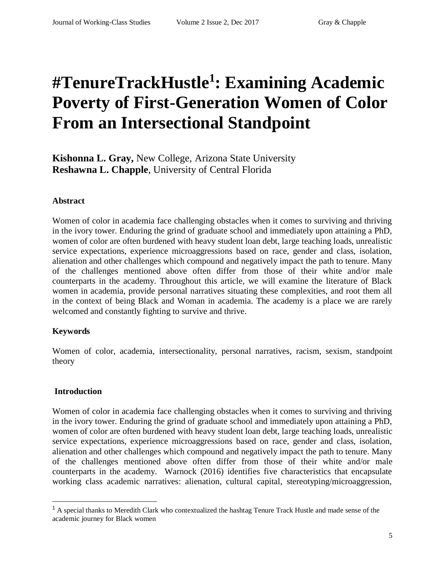# **#TenureTrackHustle<sup>1</sup> : Examining Academic Poverty of First-Generation Women of Color From an Intersectional Standpoint**

**Kishonna L. Gray,** New College, Arizona State University **Reshawna L. Chapple**, University of Central Florida

#### **Abstract**

Women of color in academia face challenging obstacles when it comes to surviving and thriving in the ivory tower. Enduring the grind of graduate school and immediately upon attaining a PhD, women of color are often burdened with heavy student loan debt, large teaching loads, unrealistic service expectations, experience microaggressions based on race, gender and class, isolation, alienation and other challenges which compound and negatively impact the path to tenure. Many of the challenges mentioned above often differ from those of their white and/or male counterparts in the academy. Throughout this article, we will examine the literature of Black women in academia, provide personal narratives situating these complexities, and root them all in the context of being Black and Woman in academia. The academy is a place we are rarely welcomed and constantly fighting to survive and thrive.

#### **Keywords**

Women of color, academia, intersectionality, personal narratives, racism, sexism, standpoint theory

#### **Introduction**

 $\overline{a}$ 

Women of color in academia face challenging obstacles when it comes to surviving and thriving in the ivory tower. Enduring the grind of graduate school and immediately upon attaining a PhD, women of color are often burdened with heavy student loan debt, large teaching loads, unrealistic service expectations, experience microaggressions based on race, gender and class, isolation, alienation and other challenges which compound and negatively impact the path to tenure. Many of the challenges mentioned above often differ from those of their white and/or male counterparts in the academy. Warnock (2016) identifies five characteristics that encapsulate working class academic narratives: alienation, cultural capital, stereotyping/microaggression,

<sup>&</sup>lt;sup>1</sup> A special thanks to Meredith Clark who contextualized the hashtag Tenure Track Hustle and made sense of the academic journey for Black women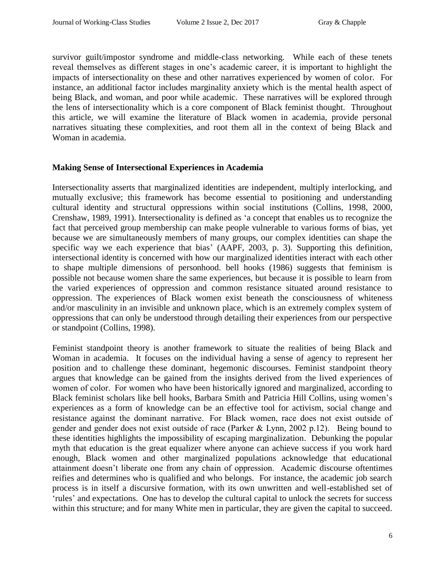survivor guilt/impostor syndrome and middle-class networking. While each of these tenets reveal themselves as different stages in one's academic career, it is important to highlight the impacts of intersectionality on these and other narratives experienced by women of color. For instance, an additional factor includes marginality anxiety which is the mental health aspect of being Black, and woman, and poor while academic. These narratives will be explored through the lens of intersectionality which is a core component of Black feminist thought. Throughout this article, we will examine the literature of Black women in academia, provide personal narratives situating these complexities, and root them all in the context of being Black and Woman in academia.

#### **Making Sense of Intersectional Experiences in Academia**

Intersectionality asserts that marginalized identities are independent, multiply interlocking, and mutually exclusive; this framework has become essential to positioning and understanding cultural identity and structural oppressions within social institutions (Collins, 1998, 2000, Crenshaw, 1989, 1991). Intersectionality is defined as 'a concept that enables us to recognize the fact that perceived group membership can make people vulnerable to various forms of bias, yet because we are simultaneously members of many groups, our complex identities can shape the specific way we each experience that bias' (AAPF, 2003, p. 3). Supporting this definition, intersectional identity is concerned with how our marginalized identities interact with each other to shape multiple dimensions of personhood. bell hooks (1986) suggests that feminism is possible not because women share the same experiences, but because it is possible to learn from the varied experiences of oppression and common resistance situated around resistance to oppression. The experiences of Black women exist beneath the consciousness of whiteness and/or masculinity in an invisible and unknown place, which is an extremely complex system of oppressions that can only be understood through detailing their experiences from our perspective or standpoint (Collins, 1998).

Feminist standpoint theory is another framework to situate the realities of being Black and Woman in academia. It focuses on the individual having a sense of agency to represent her position and to challenge these dominant, hegemonic discourses. Feminist standpoint theory argues that knowledge can be gained from the insights derived from the lived experiences of women of color. For women who have been historically ignored and marginalized, according to Black feminist scholars like bell hooks, Barbara Smith and Patricia Hill Collins, using women's experiences as a form of knowledge can be an effective tool for activism, social change and resistance against the dominant narrative.  For Black women, race does not exist outside of gender and gender does not exist outside of race (Parker & Lynn, 2002 p.12).   Being bound to these identities highlights the impossibility of escaping marginalization. Debunking the popular myth that education is the great equalizer where anyone can achieve success if you work hard enough, Black women and other marginalized populations acknowledge that educational attainment doesn't liberate one from any chain of oppression. Academic discourse oftentimes reifies and determines who is qualified and who belongs. For instance, the academic job search process is in itself a discursive formation, with its own unwritten and well-established set of 'rules' and expectations. One has to develop the cultural capital to unlock the secrets for success within this structure; and for many White men in particular, they are given the capital to succeed.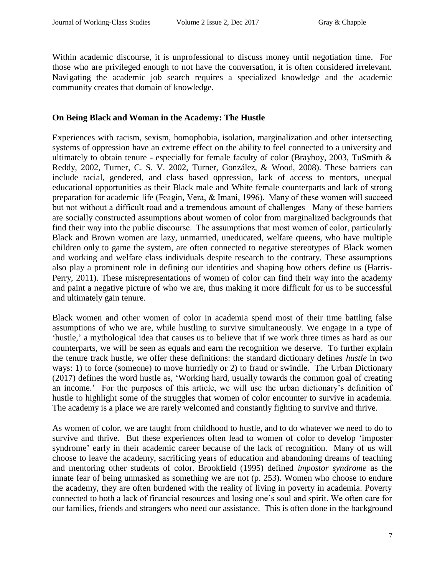Within academic discourse, it is unprofessional to discuss money until negotiation time. For those who are privileged enough to not have the conversation, it is often considered irrelevant. Navigating the academic job search requires a specialized knowledge and the academic community creates that domain of knowledge.

#### **On Being Black and Woman in the Academy: The Hustle**

Experiences with racism, sexism, homophobia, isolation, marginalization and other intersecting systems of oppression have an extreme effect on the ability to feel connected to a university and ultimately to obtain tenure - especially for female faculty of color (Brayboy, 2003, TuSmith & Reddy, 2002, Turner, C. S. V. 2002, Turner, González, & Wood, 2008). These barriers can include racial, gendered, and class based oppression, lack of access to mentors, unequal educational opportunities as their Black male and White female counterparts and lack of strong preparation for academic life (Feagin, Vera, & Imani, 1996).  Many of these women will succeed but not without a difficult road and a tremendous amount of challenges   Many of these barriers are socially constructed assumptions about women of color from marginalized backgrounds that find their way into the public discourse.  The assumptions that most women of color, particularly Black and Brown women are lazy, unmarried, uneducated, welfare queens, who have multiple children only to game the system, are often connected to negative stereotypes of Black women and working and welfare class individuals despite research to the contrary. These assumptions also play a prominent role in defining our identities and shaping how others define us (Harris-Perry, 2011). These misrepresentations of women of color can find their way into the academy and paint a negative picture of who we are, thus making it more difficult for us to be successful and ultimately gain tenure.

Black women and other women of color in academia spend most of their time battling false assumptions of who we are, while hustling to survive simultaneously. We engage in a type of 'hustle,' a mythological idea that causes us to believe that if we work three times as hard as our counterparts, we will be seen as equals and earn the recognition we deserve. To further explain the tenure track hustle, we offer these definitions: the standard dictionary defines *hustle* in two ways: 1) to force (someone) to move hurriedly or 2) to fraud or swindle. The Urban Dictionary (2017) defines the word hustle as, 'Working hard, usually towards the common goal of creating an income.' For the purposes of this article, we will use the urban dictionary's definition of hustle to highlight some of the struggles that women of color encounter to survive in academia. The academy is a place we are rarely welcomed and constantly fighting to survive and thrive.

As women of color, we are taught from childhood to hustle, and to do whatever we need to do to survive and thrive. But these experiences often lead to women of color to develop 'imposter syndrome' early in their academic career because of the lack of recognition. Many of us will choose to leave the academy, sacrificing years of education and abandoning dreams of teaching and mentoring other students of color. Brookfield (1995) defined *impostor syndrome* as the innate fear of being unmasked as something we are not (p. 253). Women who choose to endure the academy, they are often burdened with the reality of living in poverty in academia. Poverty connected to both a lack of financial resources and losing one's soul and spirit. We often care for our families, friends and strangers who need our assistance. This is often done in the background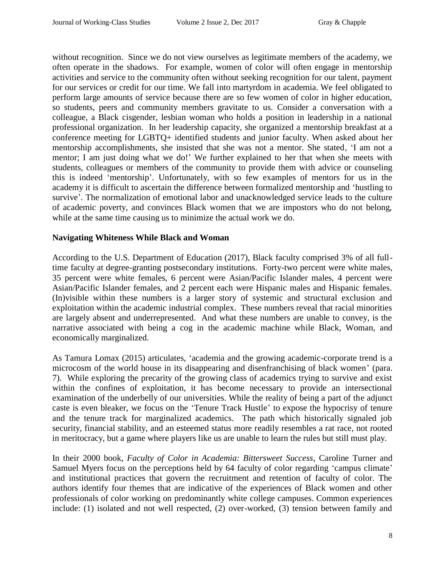without recognition. Since we do not view ourselves as legitimate members of the academy, we often operate in the shadows. For example, women of color will often engage in mentorship activities and service to the community often without seeking recognition for our talent, payment for our services or credit for our time. We fall into martyrdom in academia. We feel obligated to perform large amounts of service because there are so few women of color in higher education, so students, peers and community members gravitate to us. Consider a conversation with a colleague, a Black cisgender, lesbian woman who holds a position in leadership in a national professional organization. In her leadership capacity, she organized a mentorship breakfast at a conference meeting for LGBTQ+ identified students and junior faculty. When asked about her mentorship accomplishments, she insisted that she was not a mentor. She stated, 'I am not a mentor; I am just doing what we do!' We further explained to her that when she meets with students, colleagues or members of the community to provide them with advice or counseling this is indeed 'mentorship'. Unfortunately, with so few examples of mentors for us in the academy it is difficult to ascertain the difference between formalized mentorship and 'hustling to survive'. The normalization of emotional labor and unacknowledged service leads to the culture of academic poverty, and convinces Black women that we are impostors who do not belong, while at the same time causing us to minimize the actual work we do.

## **Navigating Whiteness While Black and Woman**

According to the U.S. Department of Education (2017), Black faculty comprised 3% of all fulltime faculty at degree-granting postsecondary institutions. Forty-two percent were white males, 35 percent were white females, 6 percent were Asian/Pacific Islander males, 4 percent were Asian/Pacific Islander females, and 2 percent each were Hispanic males and Hispanic females. (In)visible within these numbers is a larger story of systemic and structural exclusion and exploitation within the academic industrial complex. These numbers reveal that racial minorities are largely absent and underrepresented. And what these numbers are unable to convey, is the narrative associated with being a cog in the academic machine while Black, Woman, and economically marginalized.

As Tamura Lomax (2015) articulates, 'academia and the growing academic-corporate trend is a microcosm of the world house in its disappearing and disenfranchising of black women' (para. 7). While exploring the precarity of the growing class of academics trying to survive and exist within the confines of exploitation, it has become necessary to provide an intersectional examination of the underbelly of our universities. While the reality of being a part of the adjunct caste is even bleaker, we focus on the 'Tenure Track Hustle' to expose the hypocrisy of tenure and the tenure track for marginalized academics. The path which historically signaled job security, financial stability, and an esteemed status more readily resembles a rat race, not rooted in meritocracy, but a game where players like us are unable to learn the rules but still must play.

In their 2000 book, *Faculty of Color in Academia: Bittersweet Success*, Caroline Turner and Samuel Myers focus on the perceptions held by 64 faculty of color regarding 'campus climate' and institutional practices that govern the recruitment and retention of faculty of color. The authors identify four themes that are indicative of the experiences of Black women and other professionals of color working on predominantly white college campuses. Common experiences include: (1) isolated and not well respected, (2) over-worked, (3) tension between family and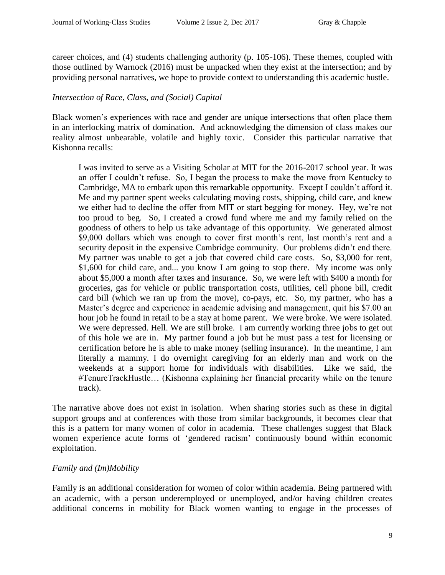career choices, and (4) students challenging authority (p. 105-106). These themes, coupled with those outlined by Warnock (2016) must be unpacked when they exist at the intersection; and by providing personal narratives, we hope to provide context to understanding this academic hustle.

## *Intersection of Race, Class, and (Social) Capital*

Black women's experiences with race and gender are unique intersections that often place them in an interlocking matrix of domination. And acknowledging the dimension of class makes our reality almost unbearable, volatile and highly toxic. Consider this particular narrative that Kishonna recalls:

I was invited to serve as a Visiting Scholar at MIT for the 2016-2017 school year. It was an offer I couldn't refuse. So, I began the process to make the move from Kentucky to Cambridge, MA to embark upon this remarkable opportunity. Except I couldn't afford it. Me and my partner spent weeks calculating moving costs, shipping, child care, and knew we either had to decline the offer from MIT or start begging for money. Hey, we're not too proud to beg. So, I created a crowd fund where me and my family relied on the goodness of others to help us take advantage of this opportunity. We generated almost \$9,000 dollars which was enough to cover first month's rent, last month's rent and a security deposit in the expensive Cambridge community. Our problems didn't end there. My partner was unable to get a job that covered child care costs. So, \$3,000 for rent, \$1,600 for child care, and... you know I am going to stop there. My income was only about \$5,000 a month after taxes and insurance. So, we were left with \$400 a month for groceries, gas for vehicle or public transportation costs, utilities, cell phone bill, credit card bill (which we ran up from the move), co-pays, etc. So, my partner, who has a Master's degree and experience in academic advising and management, quit his \$7.00 an hour job he found in retail to be a stay at home parent. We were broke. We were isolated. We were depressed. Hell. We are still broke. I am currently working three jobs to get out of this hole we are in. My partner found a job but he must pass a test for licensing or certification before he is able to make money (selling insurance). In the meantime, I am literally a mammy. I do overnight caregiving for an elderly man and work on the weekends at a support home for individuals with disabilities. Like we said, the #TenureTrackHustle… (Kishonna explaining her financial precarity while on the tenure track).

The narrative above does not exist in isolation. When sharing stories such as these in digital support groups and at conferences with those from similar backgrounds, it becomes clear that this is a pattern for many women of color in academia. These challenges suggest that Black women experience acute forms of 'gendered racism' continuously bound within economic exploitation.

## *Family and (Im)Mobility*

Family is an additional consideration for women of color within academia. Being partnered with an academic, with a person underemployed or unemployed, and/or having children creates additional concerns in mobility for Black women wanting to engage in the processes of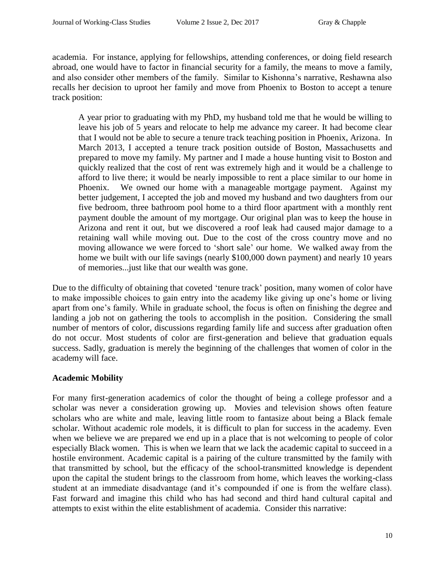academia. For instance, applying for fellowships, attending conferences, or doing field research abroad, one would have to factor in financial security for a family, the means to move a family, and also consider other members of the family. Similar to Kishonna's narrative, Reshawna also recalls her decision to uproot her family and move from Phoenix to Boston to accept a tenure track position:

A year prior to graduating with my PhD, my husband told me that he would be willing to leave his job of 5 years and relocate to help me advance my career. It had become clear that I would not be able to secure a tenure track teaching position in Phoenix, Arizona. In March 2013, I accepted a tenure track position outside of Boston, Massachusetts and prepared to move my family. My partner and I made a house hunting visit to Boston and quickly realized that the cost of rent was extremely high and it would be a challenge to afford to live there; it would be nearly impossible to rent a place similar to our home in Phoenix. We owned our home with a manageable mortgage payment. Against my better judgement, I accepted the job and moved my husband and two daughters from our five bedroom, three bathroom pool home to a third floor apartment with a monthly rent payment double the amount of my mortgage. Our original plan was to keep the house in Arizona and rent it out, but we discovered a roof leak had caused major damage to a retaining wall while moving out. Due to the cost of the cross country move and no moving allowance we were forced to 'short sale' our home. We walked away from the home we built with our life savings (nearly \$100,000 down payment) and nearly 10 years of memories...just like that our wealth was gone.

Due to the difficulty of obtaining that coveted 'tenure track' position, many women of color have to make impossible choices to gain entry into the academy like giving up one's home or living apart from one's family. While in graduate school, the focus is often on finishing the degree and landing a job not on gathering the tools to accomplish in the position. Considering the small number of mentors of color, discussions regarding family life and success after graduation often do not occur. Most students of color are first-generation and believe that graduation equals success. Sadly, graduation is merely the beginning of the challenges that women of color in the academy will face.

## **Academic Mobility**

For many first-generation academics of color the thought of being a college professor and a scholar was never a consideration growing up. Movies and television shows often feature scholars who are white and male, leaving little room to fantasize about being a Black female scholar. Without academic role models, it is difficult to plan for success in the academy. Even when we believe we are prepared we end up in a place that is not welcoming to people of color especially Black women. This is when we learn that we lack the academic capital to succeed in a hostile environment. Academic capital is a pairing of the culture transmitted by the family with that transmitted by school, but the efficacy of the school-transmitted knowledge is dependent upon the capital the student brings to the classroom from home, which leaves the working-class student at an immediate disadvantage (and it's compounded if one is from the welfare class). Fast forward and imagine this child who has had second and third hand cultural capital and attempts to exist within the elite establishment of academia. Consider this narrative: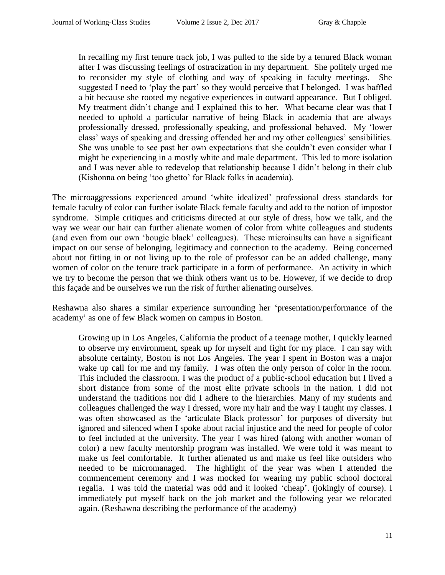In recalling my first tenure track job, I was pulled to the side by a tenured Black woman after I was discussing feelings of ostracization in my department. She politely urged me to reconsider my style of clothing and way of speaking in faculty meetings. She suggested I need to 'play the part' so they would perceive that I belonged. I was baffled a bit because she rooted my negative experiences in outward appearance. But I obliged. My treatment didn't change and I explained this to her. What became clear was that I needed to uphold a particular narrative of being Black in academia that are always professionally dressed, professionally speaking, and professional behaved. My 'lower class' ways of speaking and dressing offended her and my other colleagues' sensibilities. She was unable to see past her own expectations that she couldn't even consider what I might be experiencing in a mostly white and male department. This led to more isolation and I was never able to redevelop that relationship because I didn't belong in their club (Kishonna on being 'too ghetto' for Black folks in academia).

The microaggressions experienced around 'white idealized' professional dress standards for female faculty of color can further isolate Black female faculty and add to the notion of impostor syndrome. Simple critiques and criticisms directed at our style of dress, how we talk, and the way we wear our hair can further alienate women of color from white colleagues and students (and even from our own 'bougie black' colleagues). These microinsults can have a significant impact on our sense of belonging, legitimacy and connection to the academy. Being concerned about not fitting in or not living up to the role of professor can be an added challenge, many women of color on the tenure track participate in a form of performance. An activity in which we try to become the person that we think others want us to be. However, if we decide to drop this façade and be ourselves we run the risk of further alienating ourselves.

Reshawna also shares a similar experience surrounding her 'presentation/performance of the academy' as one of few Black women on campus in Boston.

Growing up in Los Angeles, California the product of a teenage mother, I quickly learned to observe my environment, speak up for myself and fight for my place. I can say with absolute certainty, Boston is not Los Angeles. The year I spent in Boston was a major wake up call for me and my family. I was often the only person of color in the room. This included the classroom. I was the product of a public-school education but I lived a short distance from some of the most elite private schools in the nation. I did not understand the traditions nor did I adhere to the hierarchies. Many of my students and colleagues challenged the way I dressed, wore my hair and the way I taught my classes. I was often showcased as the 'articulate Black professor' for purposes of diversity but ignored and silenced when I spoke about racial injustice and the need for people of color to feel included at the university. The year I was hired (along with another woman of color) a new faculty mentorship program was installed. We were told it was meant to make us feel comfortable. It further alienated us and make us feel like outsiders who needed to be micromanaged. The highlight of the year was when I attended the commencement ceremony and I was mocked for wearing my public school doctoral regalia. I was told the material was odd and it looked 'cheap'. (jokingly of course). I immediately put myself back on the job market and the following year we relocated again. (Reshawna describing the performance of the academy)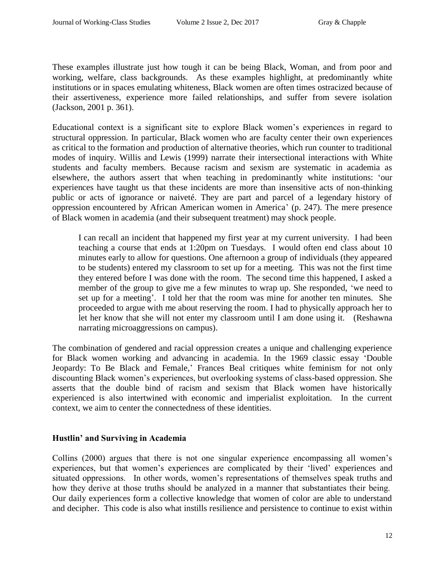These examples illustrate just how tough it can be being Black, Woman, and from poor and working, welfare, class backgrounds. As these examples highlight, at predominantly white institutions or in spaces emulating whiteness, Black women are often times ostracized because of their assertiveness, experience more failed relationships, and suffer from severe isolation (Jackson, 2001 p. 361).

Educational context is a significant site to explore Black women's experiences in regard to structural oppression. In particular, Black women who are faculty center their own experiences as critical to the formation and production of alternative theories, which run counter to traditional modes of inquiry. Willis and Lewis (1999) narrate their intersectional interactions with White students and faculty members. Because racism and sexism are systematic in academia as elsewhere, the authors assert that when teaching in predominantly white institutions: 'our experiences have taught us that these incidents are more than insensitive acts of non-thinking public or acts of ignorance or naiveté. They are part and parcel of a legendary history of oppression encountered by African American women in America' (p. 247). The mere presence of Black women in academia (and their subsequent treatment) may shock people.

I can recall an incident that happened my first year at my current university. I had been teaching a course that ends at 1:20pm on Tuesdays. I would often end class about 10 minutes early to allow for questions. One afternoon a group of individuals (they appeared to be students) entered my classroom to set up for a meeting. This was not the first time they entered before I was done with the room. The second time this happened, I asked a member of the group to give me a few minutes to wrap up. She responded, 'we need to set up for a meeting'. I told her that the room was mine for another ten minutes. She proceeded to argue with me about reserving the room. I had to physically approach her to let her know that she will not enter my classroom until I am done using it. (Reshawna narrating microaggressions on campus).

The combination of gendered and racial oppression creates a unique and challenging experience for Black women working and advancing in academia. In the 1969 classic essay 'Double Jeopardy: To Be Black and Female,' Frances Beal critiques white feminism for not only discounting Black women's experiences, but overlooking systems of class-based oppression. She asserts that the double bind of racism and sexism that Black women have historically experienced is also intertwined with economic and imperialist exploitation. In the current context, we aim to center the connectedness of these identities.

## **Hustlin' and Surviving in Academia**

Collins (2000) argues that there is not one singular experience encompassing all women's experiences, but that women's experiences are complicated by their 'lived' experiences and situated oppressions.   In other words, women's representations of themselves speak truths and how they derive at those truths should be analyzed in a manner that substantiates their being.  Our daily experiences form a collective knowledge that women of color are able to understand and decipher. This code is also what instills resilience and persistence to continue to exist within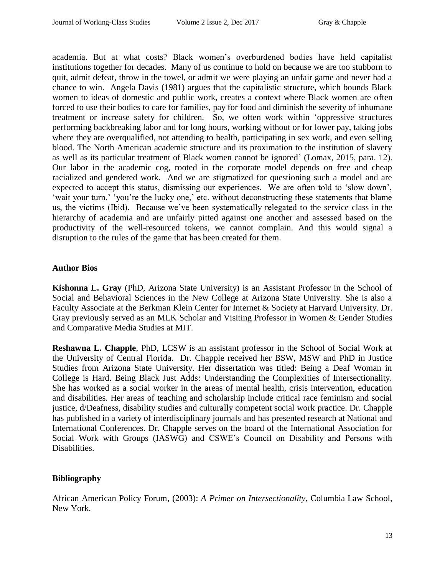academia. But at what costs? Black women's overburdened bodies have held capitalist institutions together for decades. Many of us continue to hold on because we are too stubborn to quit, admit defeat, throw in the towel, or admit we were playing an unfair game and never had a chance to win. Angela Davis (1981) argues that the capitalistic structure, which bounds Black women to ideas of domestic and public work, creates a context where Black women are often forced to use their bodies to care for families, pay for food and diminish the severity of inhumane treatment or increase safety for children. So, we often work within 'oppressive structures performing backbreaking labor and for long hours, working without or for lower pay, taking jobs where they are overqualified, not attending to health, participating in sex work, and even selling blood. The North American academic structure and its proximation to the institution of slavery as well as its particular treatment of Black women cannot be ignored' (Lomax, 2015, para. 12). Our labor in the academic cog, rooted in the corporate model depends on free and cheap racialized and gendered work. And we are stigmatized for questioning such a model and are expected to accept this status, dismissing our experiences. We are often told to 'slow down', 'wait your turn,' 'you're the lucky one,' etc. without deconstructing these statements that blame us, the victims (Ibid). Because we've been systematically relegated to the service class in the hierarchy of academia and are unfairly pitted against one another and assessed based on the productivity of the well-resourced tokens, we cannot complain. And this would signal a disruption to the rules of the game that has been created for them.

# **Author Bios**

**Kishonna L. Gray** (PhD, Arizona State University) is an Assistant Professor in the School of Social and Behavioral Sciences in the New College at Arizona State University. She is also a Faculty Associate at the Berkman Klein Center for Internet & Society at Harvard University. Dr. Gray previously served as an MLK Scholar and Visiting Professor in Women & Gender Studies and Comparative Media Studies at MIT.

**Reshawna L. Chapple**, PhD, LCSW is an assistant professor in the School of Social Work at the University of Central Florida. Dr. Chapple received her BSW, MSW and PhD in Justice Studies from Arizona State University. Her dissertation was titled: Being a Deaf Woman in College is Hard. Being Black Just Adds: Understanding the Complexities of Intersectionality. She has worked as a social worker in the areas of mental health, crisis intervention, education and disabilities. Her areas of teaching and scholarship include critical race feminism and social justice, d/Deafness, disability studies and culturally competent social work practice. Dr. Chapple has published in a variety of interdisciplinary journals and has presented research at National and International Conferences. Dr. Chapple serves on the board of the International Association for Social Work with Groups (IASWG) and CSWE's Council on Disability and Persons with Disabilities.

# **Bibliography**

African American Policy Forum, (2003): *A Primer on Intersectionality*, Columbia Law School, New York.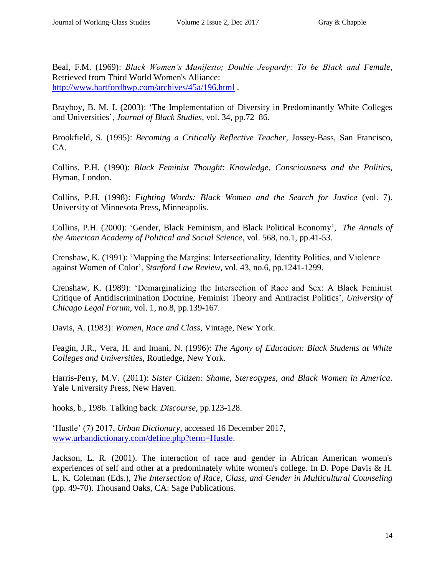Beal, F.M. (1969): *Black Women's Manifesto; Double Jeopardy: To be Black and Female*, Retrieved from Third World Women's Alliance: <http://www.hartfordhwp.com/archives/45a/196.html> .

Brayboy, B. M. J. (2003): 'The Implementation of Diversity in Predominantly White Colleges and Universities', *Journal of Black Studies*, vol. 34, pp.72–86.

Brookfield, S. (1995): *Becoming a Critically Reflective Teacher*, Jossey-Bass, San Francisco, CA.

Collins, P.H. (1990): *Black Feminist Thought*: *Knowledge, Consciousness and the Politics*, Hyman, London.

Collins, P.H. (1998): *Fighting Words: Black Women and the Search for Justice* (vol. 7). University of Minnesota Press, Minneapolis.

Collins, P.H. (2000): 'Gender, Black Feminism, and Black Political Economy', *The Annals of the American Academy of Political and Social Science*, vol. 568, no*.*1, pp.41-53.

Crenshaw, K. (1991): 'Mapping the Margins: Intersectionality, Identity Politics, and Violence against Women of Color', *Stanford Law Review*, vol. 43, no.6, pp.1241-1299.

Crenshaw, K. (1989): 'Demarginalizing the Intersection of Race and Sex: A Black Feminist Critique of Antidiscrimination Doctrine, Feminist Theory and Antiracist Politics', *University of Chicago Legal Forum*, vol. 1, no.8, pp.139-167.

Davis, A. (1983): *Women, Race and Class*, Vintage, New York.

Feagin, J.R., Vera, H. and Imani, N. (1996): *The Agony of Education: Black Students at White Colleges and Universities*, Routledge, New York.

Harris-Perry, M.V. (2011): *Sister Citizen: Shame, Stereotypes, and Black Women in America*. Yale University Press, New Haven.

hooks, b., 1986. Talking back. *Discourse*, pp.123-128.

'Hustle' (7) 2017, *Urban Dictionary*, accessed 16 December 2017, [www.urbandictionary.com/define.php?term=Hustle.](http://www.urbandictionary.com/define.php?term=Hustle)

Jackson, L. R. (2001). The interaction of race and gender in African American women's experiences of self and other at a predominately white women's college. In D. Pope Davis & H. L. K. Coleman (Eds.), *The Intersection of Race, Class, and Gender in Multicultural Counseling* (pp. 49-70). Thousand Oaks, CA: Sage Publications.